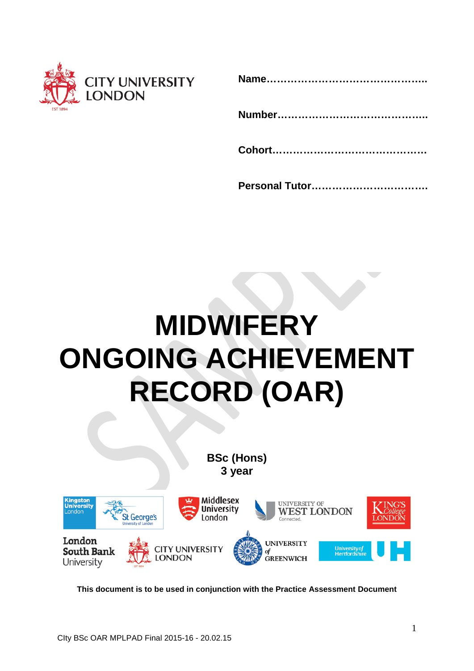

|--|--|--|

|--|--|

# **MIDWIFERY ONGOING ACHIEVEMENT RECORD (OAR)**

**BSc (Hons) 3 year**



**This document is to be used in conjunction with the Practice Assessment Document**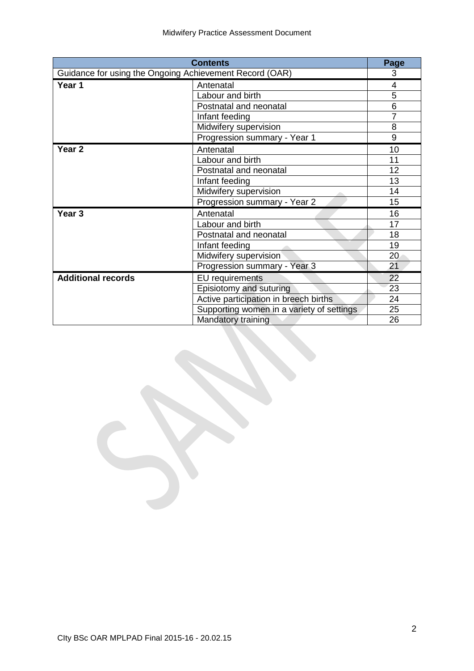| <b>Contents</b>                                         |                                           | Page           |
|---------------------------------------------------------|-------------------------------------------|----------------|
| Guidance for using the Ongoing Achievement Record (OAR) |                                           | 3              |
| Year 1                                                  | Antenatal                                 | $\overline{4}$ |
|                                                         | Labour and birth                          | 5              |
|                                                         | Postnatal and neonatal                    | 6              |
|                                                         | Infant feeding                            | 7              |
|                                                         | Midwifery supervision                     | 8              |
|                                                         | Progression summary - Year 1              | 9              |
| Year <sub>2</sub>                                       | Antenatal                                 | 10             |
|                                                         | Labour and birth                          | 11             |
|                                                         | Postnatal and neonatal                    | 12             |
|                                                         | Infant feeding                            | 13             |
|                                                         | Midwifery supervision                     | 14             |
|                                                         | Progression summary - Year 2              | 15             |
| Year <sub>3</sub>                                       | Antenatal                                 | 16             |
|                                                         | Labour and birth                          | 17             |
|                                                         | Postnatal and neonatal                    | 18             |
|                                                         | Infant feeding                            | 19             |
|                                                         | Midwifery supervision                     | 20             |
|                                                         | Progression summary - Year 3              | 21             |
| <b>Additional records</b>                               | <b>EU</b> requirements                    | 22             |
|                                                         | Episiotomy and suturing                   | 23             |
|                                                         | Active participation in breech births     | 24             |
|                                                         | Supporting women in a variety of settings | 25             |
|                                                         | Mandatory training                        | 26             |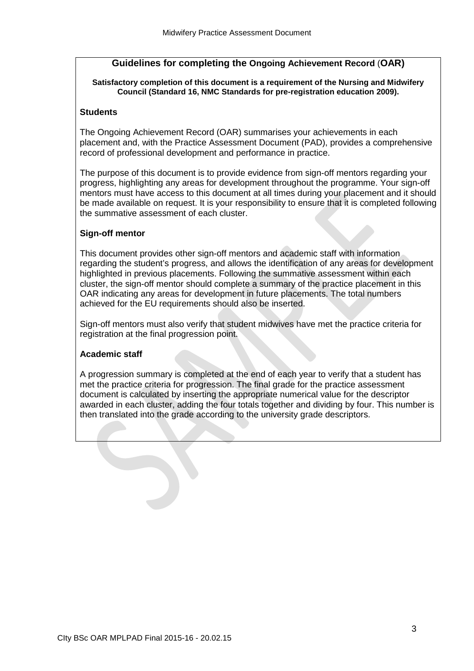### **Guidelines for completing the Ongoing Achievement Record** (**OAR)**

**Satisfactory completion of this document is a requirement of the Nursing and Midwifery Council (Standard 16, NMC Standards for pre-registration education 2009).** 

#### **Students**

The Ongoing Achievement Record (OAR) summarises your achievements in each placement and, with the Practice Assessment Document (PAD), provides a comprehensive record of professional development and performance in practice.

The purpose of this document is to provide evidence from sign-off mentors regarding your progress, highlighting any areas for development throughout the programme. Your sign-off mentors must have access to this document at all times during your placement and it should be made available on request. It is your responsibility to ensure that it is completed following the summative assessment of each cluster.

#### **Sign-off mentor**

This document provides other sign-off mentors and academic staff with information regarding the student's progress, and allows the identification of any areas for development highlighted in previous placements. Following the summative assessment within each cluster, the sign-off mentor should complete a summary of the practice placement in this OAR indicating any areas for development in future placements. The total numbers achieved for the EU requirements should also be inserted.

Sign-off mentors must also verify that student midwives have met the practice criteria for registration at the final progression point.

#### **Academic staff**

A progression summary is completed at the end of each year to verify that a student has met the practice criteria for progression. The final grade for the practice assessment document is calculated by inserting the appropriate numerical value for the descriptor awarded in each cluster, adding the four totals together and dividing by four. This number is then translated into the grade according to the university grade descriptors.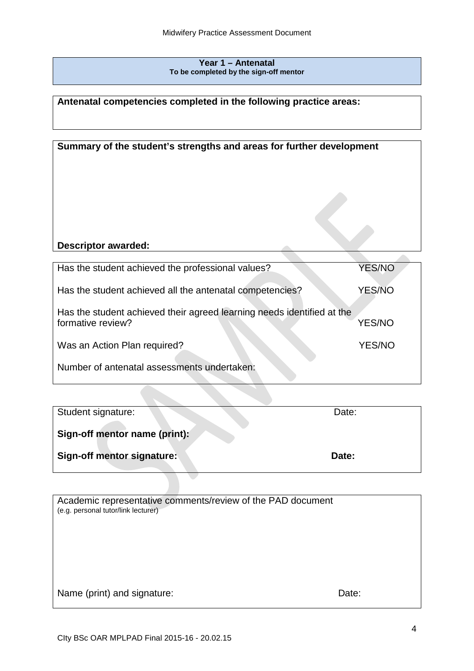#### **Year 1 – Antenatal To be completed by the sign-off mentor**

## **Antenatal competencies completed in the following practice areas:**

| Summary of the student's strengths and areas for further development                        |               |
|---------------------------------------------------------------------------------------------|---------------|
| <b>Descriptor awarded:</b>                                                                  |               |
| Has the student achieved the professional values?                                           | <b>YES/NO</b> |
| Has the student achieved all the antenatal competencies?                                    | <b>YES/NO</b> |
| Has the student achieved their agreed learning needs identified at the<br>formative review? | <b>YES/NO</b> |
| Was an Action Plan required?                                                                | <b>YES/NO</b> |
| Number of antenatal assessments undertaken:                                                 |               |

| Student signature:            | Date: |
|-------------------------------|-------|
| Sign-off mentor name (print): |       |
| Sign-off mentor signature:    | Date: |

 $\mathcal{L}$ 

Academic representative comments/review of the PAD document (e.g. personal tutor/link lecturer) Name (print) and signature: Date: Date: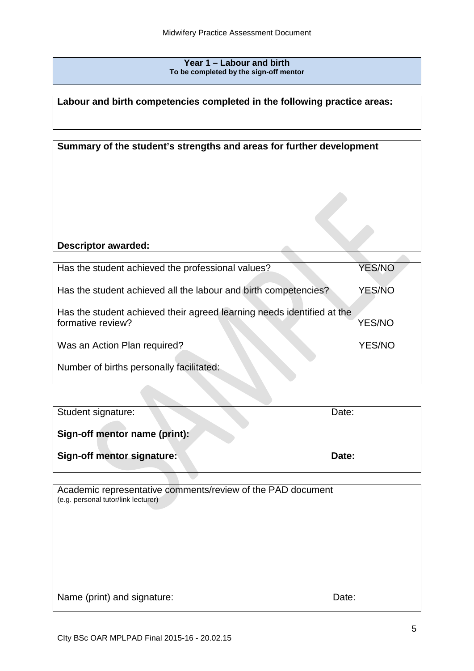**Year 1 – Labour and birth To be completed by the sign-off mentor**

## **Labour and birth competencies completed in the following practice areas:**

| Summary of the student's strengths and areas for further development   |               |  |
|------------------------------------------------------------------------|---------------|--|
| <b>Descriptor awarded:</b>                                             |               |  |
|                                                                        |               |  |
| Has the student achieved the professional values?                      | <b>YES/NO</b> |  |
| Has the student achieved all the labour and birth competencies?        | <b>YES/NO</b> |  |
| Has the student achieved their agreed learning needs identified at the |               |  |
| formative review?                                                      | YES/NO        |  |
| Was an Action Plan required?                                           | <b>YES/NO</b> |  |
| Number of births personally facilitated:                               |               |  |

| Student signature:            | Date: |
|-------------------------------|-------|
| Sign-off mentor name (print): |       |
| Sign-off mentor signature:    | Date: |

Academic representative comments/review of the PAD document (e.g. personal tutor/link lecturer)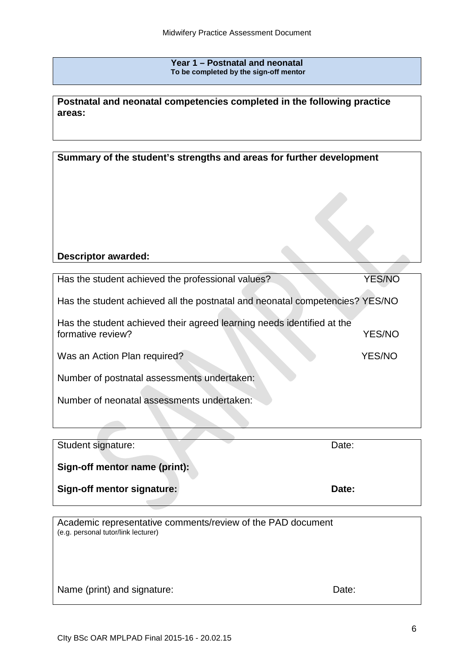**Year 1 – Postnatal and neonatal To be completed by the sign-off mentor**

| Postnatal and neonatal competencies completed in the following practice |  |
|-------------------------------------------------------------------------|--|
| areas:                                                                  |  |

**Summary of the student's strengths and areas for further development**

## **Descriptor awarded:**

| Has the student achieved the professional values?                            | <b>YES/NO</b> |
|------------------------------------------------------------------------------|---------------|
| Has the student achieved all the postnatal and neonatal competencies? YES/NO |               |
|                                                                              |               |
| Has the student achieved their agreed learning needs identified at the       |               |
| formative review?                                                            | <b>YES/NO</b> |
|                                                                              |               |
| Was an Action Plan required?                                                 | <b>YES/NO</b> |
|                                                                              |               |
|                                                                              |               |
| Number of postnatal assessments undertaken:                                  |               |
|                                                                              |               |
| Number of neonatal assessments undertaken:                                   |               |
|                                                                              |               |
|                                                                              |               |
|                                                                              |               |
|                                                                              |               |

| Student signature:                | Date: |
|-----------------------------------|-------|
| Sign-off mentor name (print):     |       |
| <b>Sign-off mentor signature:</b> | Date: |

Academic representative comments/review of the PAD document (e.g. personal tutor/link lecturer)

| Name (print) and signature: | Date: |
|-----------------------------|-------|
|-----------------------------|-------|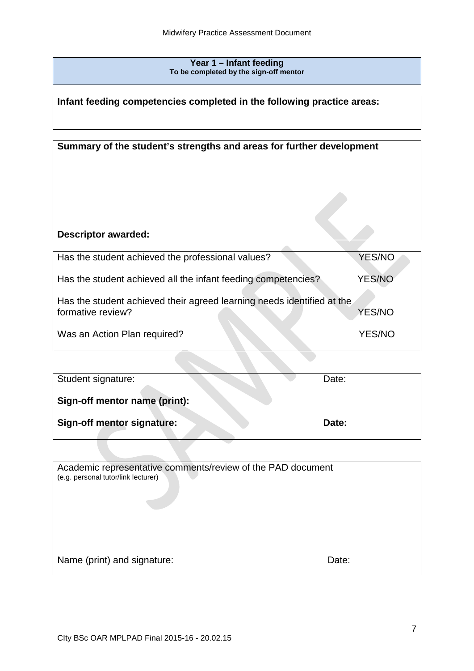**Year 1 – Infant feeding To be completed by the sign-off mentor**

**Infant feeding competencies completed in the following practice areas:** 

| Summary of the student's strengths and areas for further development   |               |
|------------------------------------------------------------------------|---------------|
| Descriptor awarded:                                                    |               |
|                                                                        |               |
| Has the student achieved the professional values?                      | YES/NO        |
| Has the student achieved all the infant feeding competencies?          | <b>YES/NO</b> |
| Has the student achieved their agreed learning needs identified at the |               |
| formative review?                                                      | <b>YES/NO</b> |
| Was an Action Plan required?                                           | <b>YES/NO</b> |

| Student signature:            | Date: |
|-------------------------------|-------|
| Sign-off mentor name (print): |       |
| Sign-off mentor signature:    | Date: |

| Academic representative comments/review of the PAD document<br>(e.g. personal tutor/link lecturer) |       |
|----------------------------------------------------------------------------------------------------|-------|
| Name (print) and signature:                                                                        | Date: |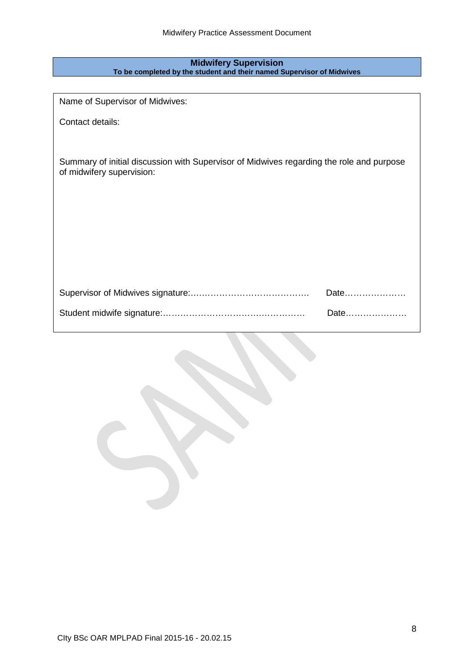#### **Midwifery Supervision To be completed by the student and their named Supervisor of Midwives**

Name of Supervisor of Midwives:

Contact details:

Summary of initial discussion with Supervisor of Midwives regarding the role and purpose of midwifery supervision:

| Date |
|------|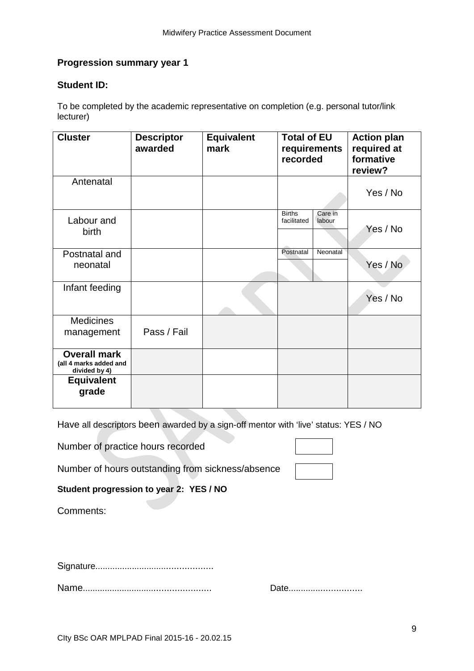## **Progression summary year 1**

## **Student ID:**

To be completed by the academic representative on completion (e.g. personal tutor/link lecturer)

| <b>Cluster</b>                                                 | <b>Descriptor</b><br>awarded | <b>Equivalent</b><br>mark | <b>Total of EU</b><br>requirements<br>recorded    | <b>Action plan</b><br>required at<br>formative<br>review? |
|----------------------------------------------------------------|------------------------------|---------------------------|---------------------------------------------------|-----------------------------------------------------------|
| Antenatal                                                      |                              |                           |                                                   | Yes / No                                                  |
| Labour and<br>birth                                            |                              |                           | <b>Births</b><br>Care in<br>facilitated<br>labour | Yes / No                                                  |
| Postnatal and<br>neonatal                                      |                              |                           | Postnatal<br>Neonatal                             | Yes / No                                                  |
| Infant feeding                                                 |                              |                           |                                                   | Yes / No                                                  |
| <b>Medicines</b><br>management                                 | Pass / Fail                  |                           |                                                   |                                                           |
| <b>Overall mark</b><br>(all 4 marks added and<br>divided by 4) |                              |                           |                                                   |                                                           |
| <b>Equivalent</b><br>grade                                     |                              |                           |                                                   |                                                           |

Have all descriptors been awarded by a sign-off mentor with 'live' status: YES / NO

Number of practice hours recorded

Number of hours outstanding from sickness/absence

## **Student progression to year 2: YES / NO**

Comments:

Signature...............................................

Name................................................... Date.............................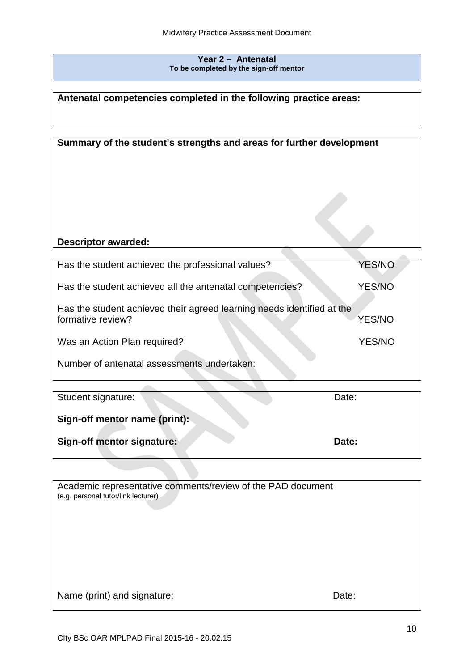#### **Year 2 – Antenatal To be completed by the sign-off mentor**

**Antenatal competencies completed in the following practice areas:** 

| Summary of the student's strengths and areas for further development   |               |
|------------------------------------------------------------------------|---------------|
| <b>Descriptor awarded:</b>                                             |               |
|                                                                        |               |
| Has the student achieved the professional values?                      | YES/NO        |
| Has the student achieved all the antenatal competencies?               | <b>YES/NO</b> |
| Has the student achieved their agreed learning needs identified at the |               |
| formative review?                                                      | <b>YES/NO</b> |
| Was an Action Plan required?                                           | <b>YES/NO</b> |
| Number of antenatal assessments undertaken:                            |               |
|                                                                        |               |
| Student signature:                                                     | Date:         |

**Sign-off mentor name (print):**

**Sign-off mentor signature:** Date:

Academic representative comments/review of the PAD document (e.g. personal tutor/link lecturer) Name (print) and signature: Date: Date: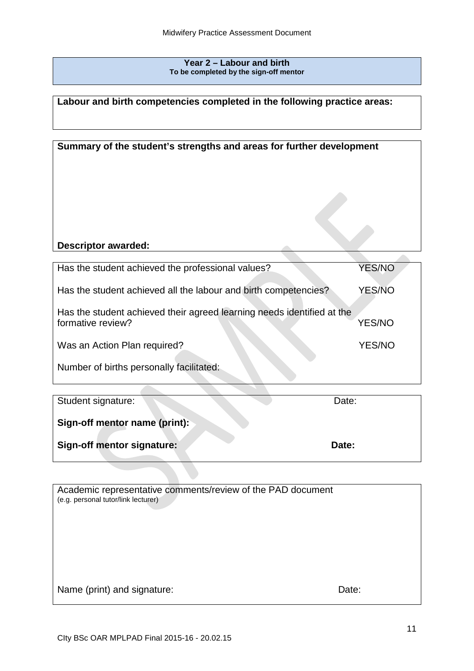**Year 2 – Labour and birth To be completed by the sign-off mentor**

## **Labour and birth competencies completed in the following practice areas:**

| Summary of the student's strengths and areas for further development                        |               |
|---------------------------------------------------------------------------------------------|---------------|
|                                                                                             |               |
| <b>Descriptor awarded:</b>                                                                  |               |
| Has the student achieved the professional values?                                           | <b>YES/NO</b> |
| Has the student achieved all the labour and birth competencies?                             | YES/NO        |
| Has the student achieved their agreed learning needs identified at the<br>formative review? | <b>YES/NO</b> |
| Was an Action Plan required?                                                                | <b>YES/NO</b> |
| Number of births personally facilitated:                                                    |               |
| Student signature:                                                                          | Date:         |

**Sign-off mentor name (print):**

**Sign-off mentor signature:** Date: Date:

| Academic representative comments/review of the PAD document<br>(e.g. personal tutor/link lecturer) |
|----------------------------------------------------------------------------------------------------|
| Name (print) and signature:<br>Date:                                                               |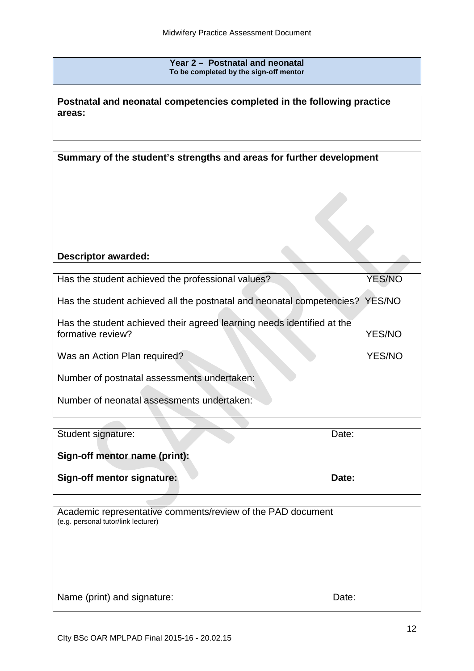**Year 2 – Postnatal and neonatal To be completed by the sign-off mentor** 

| Postnatal and neonatal competencies completed in the following practice |  |
|-------------------------------------------------------------------------|--|
| areas:                                                                  |  |

## **Descriptor awarded:**

| Has the student achieved the professional values?                                           | <b>YES/NO</b> |
|---------------------------------------------------------------------------------------------|---------------|
| Has the student achieved all the postnatal and neonatal competencies? YES/NO                |               |
| Has the student achieved their agreed learning needs identified at the<br>formative review? | <b>YES/NO</b> |
| Was an Action Plan required?                                                                | <b>YES/NO</b> |
| Number of postnatal assessments undertaken:                                                 |               |
| Number of neonatal assessments undertaken:                                                  |               |

| Date: |
|-------|
|       |
| Date: |
|       |

Academic representative comments/review of the PAD document (e.g. personal tutor/link lecturer)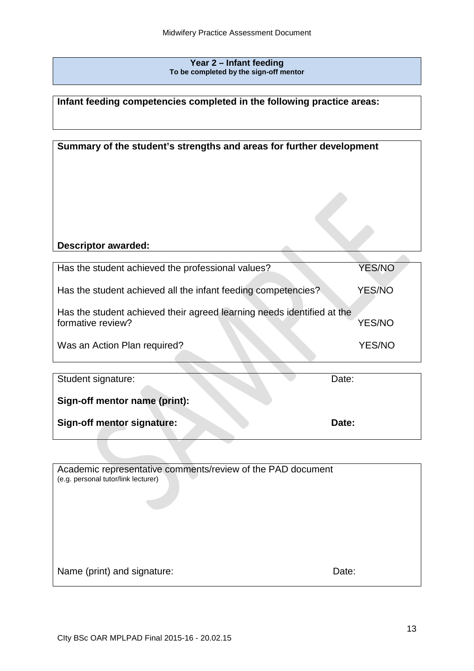**Year 2 – Infant feeding To be completed by the sign-off mentor**

**Infant feeding competencies completed in the following practice areas:** 

| Summary of the student's strengths and areas for further development                        |               |
|---------------------------------------------------------------------------------------------|---------------|
|                                                                                             |               |
| <b>Descriptor awarded:</b>                                                                  |               |
| Has the student achieved the professional values?                                           | <b>YES/NO</b> |
| Has the student achieved all the infant feeding competencies?                               | <b>YES/NO</b> |
| Has the student achieved their agreed learning needs identified at the<br>formative review? | <b>YES/NO</b> |
| Was an Action Plan required?                                                                | <b>YES/NO</b> |
|                                                                                             |               |
| Student signature:<br>Date:                                                                 |               |
| Sign-off mentor name (print):                                                               |               |
| Sign-off mentor signature:<br>Date:                                                         |               |

| Academic representative comments/review of the PAD document<br>(e.g. personal tutor/link lecturer) |  |
|----------------------------------------------------------------------------------------------------|--|
| Name (print) and signature:<br>Date:                                                               |  |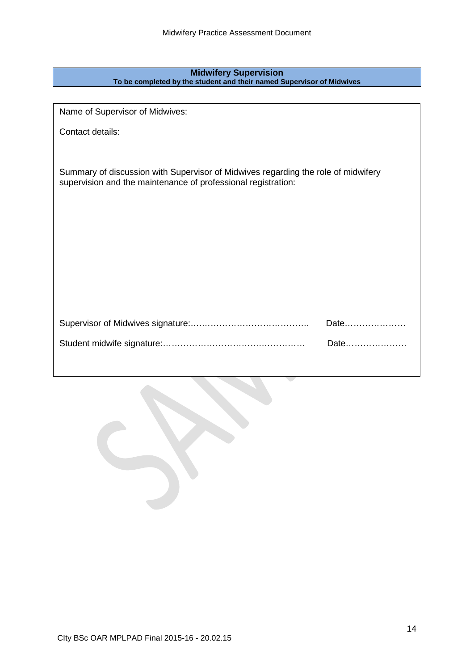#### **Midwifery Supervision To be completed by the student and their named Supervisor of Midwives**

Name of Supervisor of Midwives:

Contact details:

Summary of discussion with Supervisor of Midwives regarding the role of midwifery supervision and the maintenance of professional registration:

| Date |
|------|
| Date |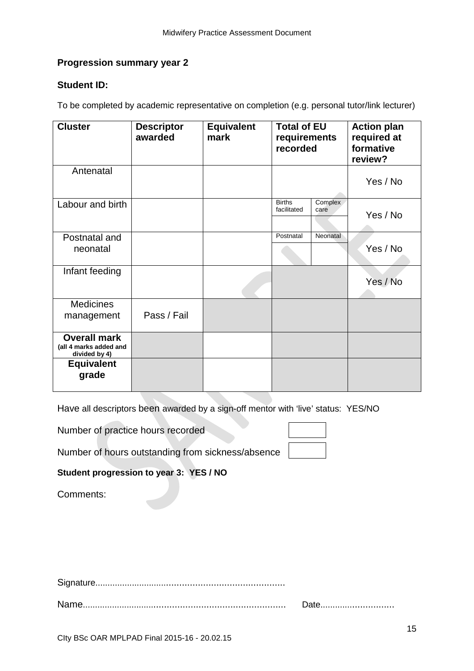## **Progression summary year 2**

## **Student ID:**

To be completed by academic representative on completion (e.g. personal tutor/link lecturer)

| <b>Cluster</b>                                                 | <b>Descriptor</b><br>awarded | <b>Equivalent</b><br>mark | <b>Total of EU</b><br>requirements<br>recorded |                 | <b>Action plan</b><br>required at<br>formative<br>review? |
|----------------------------------------------------------------|------------------------------|---------------------------|------------------------------------------------|-----------------|-----------------------------------------------------------|
| Antenatal                                                      |                              |                           |                                                |                 | Yes / No                                                  |
| Labour and birth                                               |                              |                           | <b>Births</b><br>facilitated                   | Complex<br>care | Yes / No                                                  |
| Postnatal and<br>neonatal                                      |                              |                           | Postnatal                                      | Neonatal        | Yes / No                                                  |
| Infant feeding                                                 |                              |                           |                                                |                 | Yes / No                                                  |
| <b>Medicines</b><br>management                                 | Pass / Fail                  |                           |                                                |                 |                                                           |
| <b>Overall mark</b><br>(all 4 marks added and<br>divided by 4) |                              |                           |                                                |                 |                                                           |
| <b>Equivalent</b><br>grade                                     |                              |                           |                                                |                 |                                                           |

Have all descriptors been awarded by a sign-off mentor with 'live' status: YES/NO

Number of hours outstanding from sickness/absence

## **Student progression to year 3: YES / NO**

Comments:

Name............................................................................... Date.............................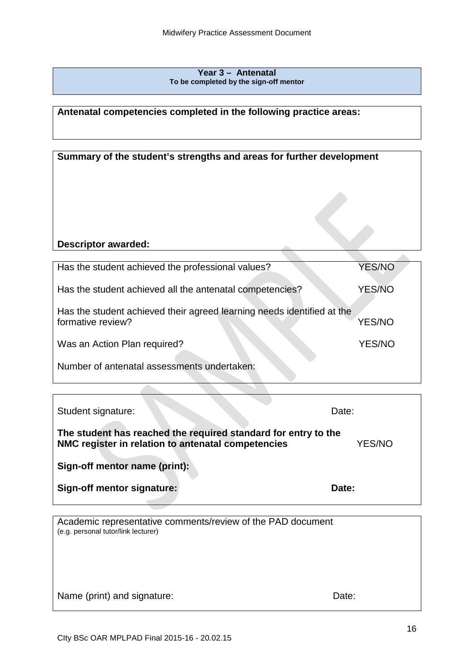#### **Year 3 – Antenatal To be completed by the sign-off mentor**

## **Antenatal competencies completed in the following practice areas:**

## **Summary of the student's strengths and areas for further development**

### **Descriptor awarded:**

| Has the student achieved the professional values?                                           | <b>YES/NO</b> |
|---------------------------------------------------------------------------------------------|---------------|
| Has the student achieved all the antenatal competencies?                                    | <b>YES/NO</b> |
| Has the student achieved their agreed learning needs identified at the<br>formative review? | <b>YES/NO</b> |
| Was an Action Plan required?                                                                | YES/NO        |
| Number of antenatal assessments undertaken:                                                 |               |

| Student signature:                                                                                                   | Date:         |
|----------------------------------------------------------------------------------------------------------------------|---------------|
| The student has reached the required standard for entry to the<br>NMC register in relation to antenatal competencies | <b>YES/NO</b> |
| Sign-off mentor name (print):                                                                                        |               |
| Sign-off mentor signature:                                                                                           | Date:         |

Academic representative comments/review of the PAD document (e.g. personal tutor/link lecturer)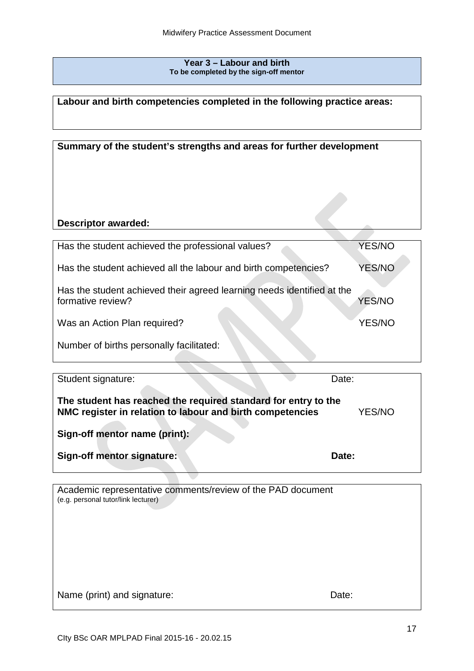**Year 3 – Labour and birth To be completed by the sign-off mentor**

## **Labour and birth competencies completed in the following practice areas:**

| Summary of the student's strengths and areas for further development                        |               |
|---------------------------------------------------------------------------------------------|---------------|
| Descriptor awarded:                                                                         |               |
|                                                                                             |               |
| Has the student achieved the professional values?                                           | YES/NO        |
| Has the student achieved all the labour and birth competencies?                             | <b>YES/NO</b> |
| Has the student achieved their agreed learning needs identified at the<br>formative review? | <b>YES/NO</b> |
| Was an Action Plan required?                                                                | <b>YES/NO</b> |
| Number of births personally facilitated:                                                    |               |

| Student signature:                                                                                                          | Date:  |
|-----------------------------------------------------------------------------------------------------------------------------|--------|
| The student has reached the required standard for entry to the<br>NMC register in relation to labour and birth competencies | YES/NO |
| Sign-off mentor name (print):                                                                                               |        |
| Sign-off mentor signature:                                                                                                  | Date:  |
|                                                                                                                             |        |

Academic representative comments/review of the PAD document (e.g. personal tutor/link lecturer)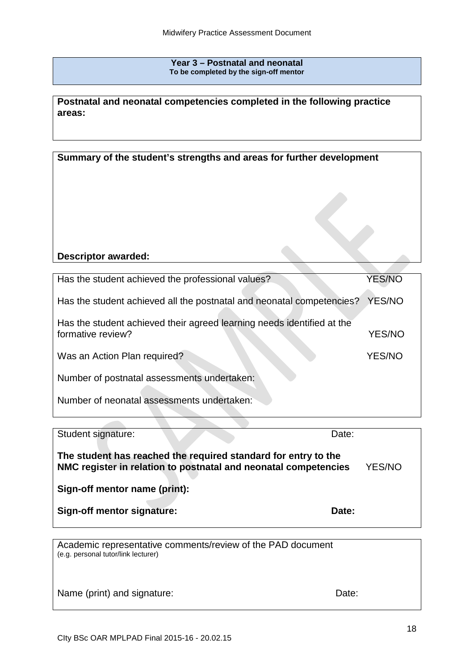**Year 3 – Postnatal and neonatal To be completed by the sign-off mentor**

| Postnatal and neonatal competencies completed in the following practice |  |
|-------------------------------------------------------------------------|--|
| areas:                                                                  |  |

**Summary of the student's strengths and areas for further development**

## **Descriptor awarded:**

| Has the student achieved the professional values?                                           | <b>YES/NO</b> |
|---------------------------------------------------------------------------------------------|---------------|
| Has the student achieved all the postnatal and neonatal competencies?                       | <b>YES/NO</b> |
| Has the student achieved their agreed learning needs identified at the<br>formative review? | YES/NO        |
| Was an Action Plan required?                                                                | <b>YES/NO</b> |
| Number of postnatal assessments undertaken:                                                 |               |
| Number of neonatal assessments undertaken:                                                  |               |

| Student signature:                                                                                                                | Date: |        |
|-----------------------------------------------------------------------------------------------------------------------------------|-------|--------|
| The student has reached the required standard for entry to the<br>NMC register in relation to postnatal and neonatal competencies |       | YES/NO |
| Sign-off mentor name (print):                                                                                                     |       |        |
| Sign-off mentor signature:                                                                                                        | Date: |        |

Academic representative comments/review of the PAD document (e.g. personal tutor/link lecturer)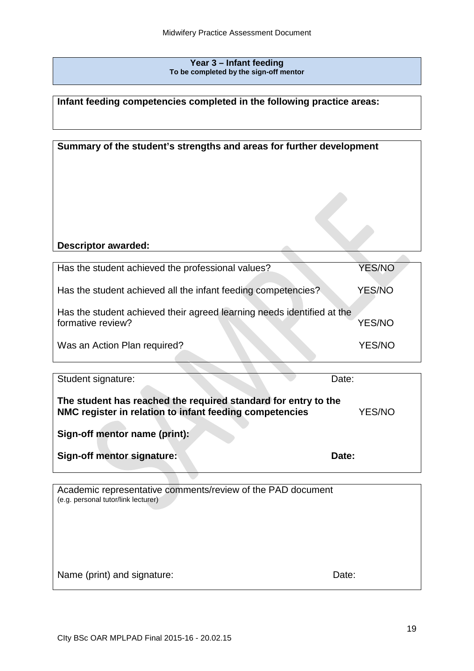**Year 3 – Infant feeding To be completed by the sign-off mentor**

**Infant feeding competencies completed in the following practice areas:** 

| Summary of the student's strengths and areas for further development                        |               |
|---------------------------------------------------------------------------------------------|---------------|
|                                                                                             |               |
| <b>Descriptor awarded:</b>                                                                  |               |
| Has the student achieved the professional values?                                           | <b>YES/NO</b> |
| Has the student achieved all the infant feeding competencies?                               | <b>YES/NO</b> |
| Has the student achieved their agreed learning needs identified at the<br>formative review? | YES/NO        |
| Was an Action Plan required?                                                                | <b>YES/NO</b> |

| Student signature:                                                                                                        | Date:  |
|---------------------------------------------------------------------------------------------------------------------------|--------|
| The student has reached the required standard for entry to the<br>NMC register in relation to infant feeding competencies | YES/NO |
| Sign-off mentor name (print):                                                                                             |        |
| Sign-off mentor signature:                                                                                                | Date:  |

Academic representative comments/review of the PAD document (e.g. personal tutor/link lecturer) Name (print) and signature: Date: Date: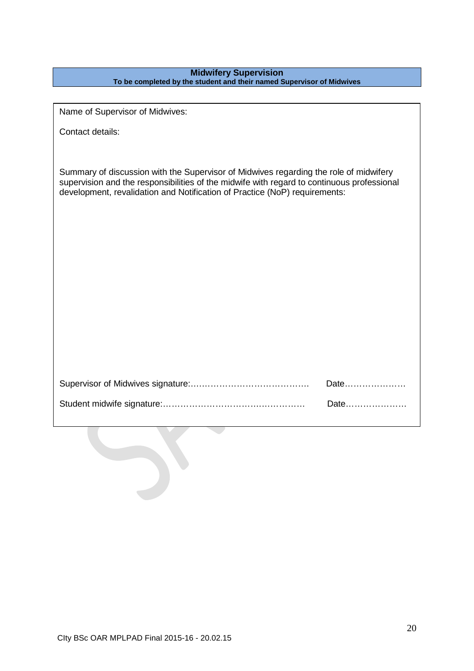#### **Midwifery Supervision To be completed by the student and their named Supervisor of Midwives**

Name of Supervisor of Midwives:

Contact details:

Summary of discussion with the Supervisor of Midwives regarding the role of midwifery supervision and the responsibilities of the midwife with regard to continuous professional development, revalidation and Notification of Practice (NoP) requirements:

| Date |
|------|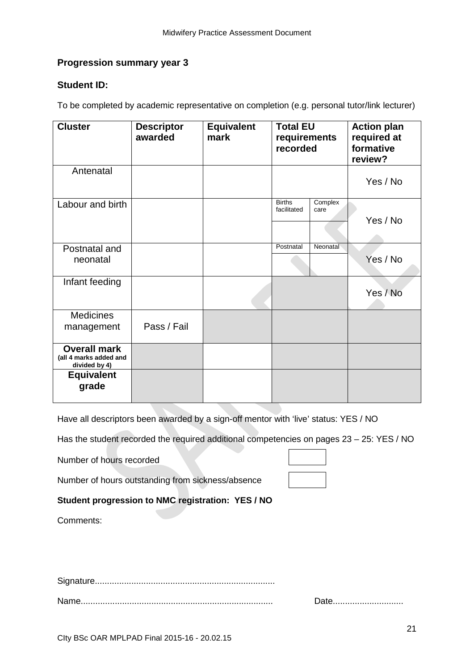## **Progression summary year 3**

## **Student ID:**

To be completed by academic representative on completion (e.g. personal tutor/link lecturer)

| <b>Cluster</b>                                                 | <b>Descriptor</b><br>awarded | <b>Equivalent</b><br>mark | <b>Total EU</b><br>requirements<br>recorded     | <b>Action plan</b><br>required at<br>formative<br>review? |
|----------------------------------------------------------------|------------------------------|---------------------------|-------------------------------------------------|-----------------------------------------------------------|
| Antenatal                                                      |                              |                           |                                                 | Yes / No                                                  |
| Labour and birth                                               |                              |                           | <b>Births</b><br>Complex<br>facilitated<br>care | Yes / No                                                  |
| Postnatal and<br>neonatal                                      |                              |                           | Postnatal<br>Neonatal                           | Yes / No                                                  |
| Infant feeding                                                 |                              |                           |                                                 | Yes / No                                                  |
| <b>Medicines</b><br>management                                 | Pass / Fail                  |                           |                                                 |                                                           |
| <b>Overall mark</b><br>(all 4 marks added and<br>divided by 4) |                              |                           |                                                 |                                                           |
| <b>Equivalent</b><br>grade                                     |                              |                           |                                                 |                                                           |

Have all descriptors been awarded by a sign-off mentor with 'live' status: YES / NO

Has the student recorded the required additional competencies on pages 23 – 25: YES / NO

Number of hours recorded

Number of hours outstanding from sickness/absence

**Student progression to NMC registration: YES / NO** 

Comments:

Signature..........................................................................

Name............................................................................... Date.............................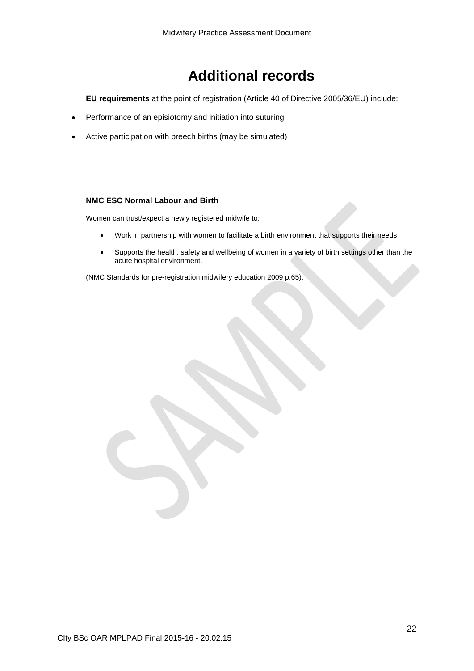## **Additional records**

**EU requirements** at the point of registration (Article 40 of Directive 2005/36/EU) include:

- Performance of an episiotomy and initiation into suturing
- Active participation with breech births (may be simulated)

#### **NMC ESC Normal Labour and Birth**

Women can trust/expect a newly registered midwife to:

- Work in partnership with women to facilitate a birth environment that supports their needs.
- Supports the health, safety and wellbeing of women in a variety of birth settings other than the acute hospital environment.

(NMC Standards for pre-registration midwifery education 2009 p.65).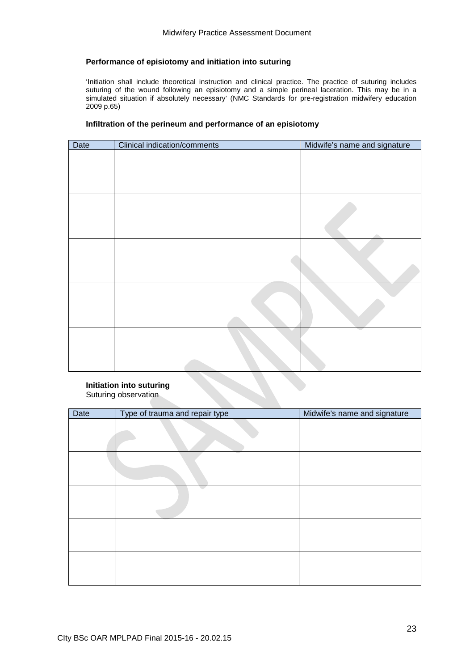#### **Performance of episiotomy and initiation into suturing**

'Initiation shall include theoretical instruction and clinical practice. The practice of suturing includes suturing of the wound following an episiotomy and a simple perineal laceration. This may be in a simulated situation if absolutely necessary' (NMC Standards for pre-registration midwifery education 2009 p.65)

#### **Infiltration of the perineum and performance of an episiotomy**

| Date | <b>Clinical indication/comments</b> | Midwife's name and signature |
|------|-------------------------------------|------------------------------|
|      |                                     |                              |
|      |                                     |                              |
|      |                                     |                              |
|      |                                     |                              |
|      |                                     |                              |
|      |                                     |                              |

#### **Initiation into suturing** Suturing observation

| Date | Type of trauma and repair type | Midwife's name and signature |
|------|--------------------------------|------------------------------|
|      |                                |                              |
|      |                                |                              |
|      |                                |                              |
|      |                                |                              |
|      |                                |                              |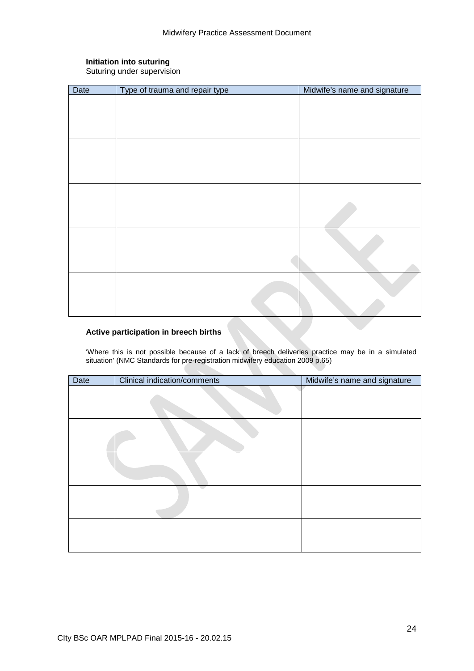#### **Initiation into suturing**

Suturing under supervision

| Date | Type of trauma and repair type | Midwife's name and signature |
|------|--------------------------------|------------------------------|
|      |                                |                              |
|      |                                |                              |
|      |                                |                              |
|      |                                |                              |
|      |                                |                              |
|      |                                |                              |
|      |                                |                              |
|      |                                |                              |
|      |                                |                              |
|      |                                |                              |
|      |                                |                              |
|      |                                |                              |
|      |                                |                              |
|      |                                |                              |
|      |                                |                              |
|      |                                |                              |
|      |                                |                              |
|      |                                |                              |

#### **Active participation in breech births**

'Where this is not possible because of a lack of breech deliveries practice may be in a simulated situation' (NMC Standards for pre-registration midwifery education 2009 p.65)

| Date | Clinical indication/comments | Midwife's name and signature |
|------|------------------------------|------------------------------|
|      |                              |                              |
|      |                              |                              |
|      |                              |                              |
|      | e.                           |                              |
|      |                              |                              |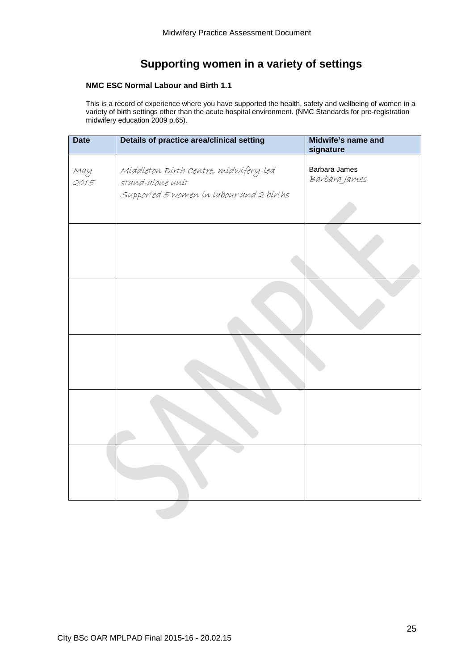## **Supporting women in a variety of settings**

#### **NMC ESC Normal Labour and Birth 1.1**

This is a record of experience where you have supported the health, safety and wellbeing of women in a variety of birth settings other than the acute hospital environment. (NMC Standards for pre-registration midwifery education 2009 p.65).

| <b>Date</b> | Details of practice area/clinical setting                                                             | Midwife's name and<br>signature |
|-------------|-------------------------------------------------------------------------------------------------------|---------------------------------|
| May<br>2015 | Míddleton Bírth Centre, mídwífery-led<br>stand-alone unit<br>Supported 5 women in labour and 2 births | Barbara James<br>Barbara James  |
|             |                                                                                                       |                                 |
|             |                                                                                                       |                                 |
|             |                                                                                                       |                                 |
|             |                                                                                                       |                                 |
|             |                                                                                                       |                                 |
|             |                                                                                                       |                                 |